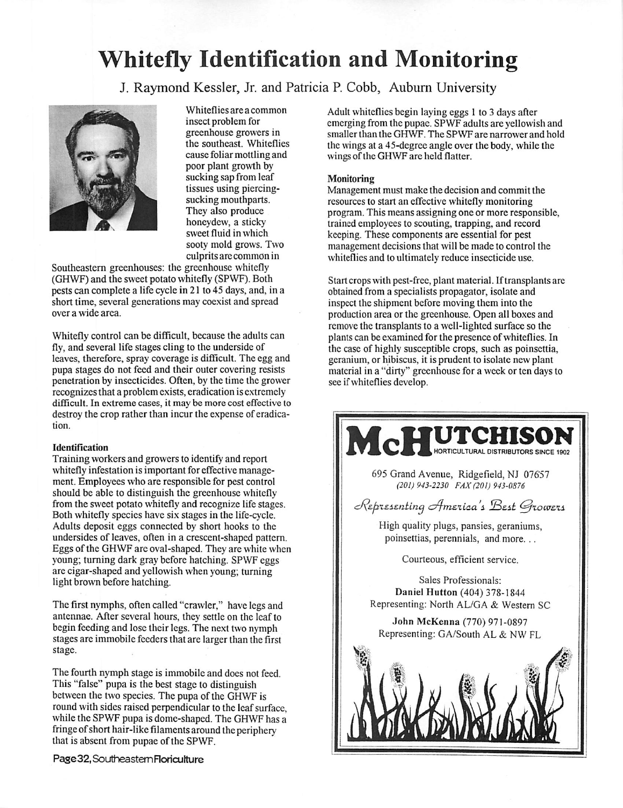# Whitefly Identification and Monitoring

J. Raymond Kessler, Jr. and Patricia P. Cobb, Auburn University



Whiteflies are a common insect problem for greenhouse growers in the southeast. Whiteflies cause foliar mottling and poor plant growth by sucking sap from leaf tissues using piercingsucking mouthparts. They also produce honeydew, a sticky sweet fluid in which sooty mold grows. Two culprits are common in

Southeastern greenhouses: the greenhouse whitefly (GHWF) and the sweet potato whitefly (SPWF). Both pests can complete a life cycle in 21 to 45 days, and, in a short time, several generations may coexist and spread over a wide area.

Whitefly control can be difficult, because the adults can fly, and several life stages cling to the underside of leaves, therefore, spray coverage is difficult. The egg and pupa stages do not feed and their outer covering resists penetration by insecticides. Often, by the time the grower recognizesthat a problem exists, eradication is extremely difficult. In extreme cases, it may be more cost effective to destroy the crop rather than incur the expense of eradica tion.

### Identification

Training workers and growers to identify and report whitefly infestation is important for effective manage ment. Employees who are responsible for pest control should be able to distinguish the greenhouse whitefly from the sweet potato whitefly and recognize life stages. Both whitefly species have six stages in the life-cycle. Adults deposit eggs connected by short hooks to the undersides of leaves, often in a crescent-shaped pattern. Eggs of the GHWF are oval-shaped. They are white when young; turning dark gray before hatching. SPWF eggs are cigar-shaped and yellowish when young; turning light brown before hatching.

The first nymphs, often called "crawler," have legs and antennae. After several hours, they settle on the leaf to begin feeding and lose their legs. The next two nymph stages are immobile feeders that are larger than the first stage.

The fourth nymph stage is immobile and docs not feed. This "false" pupa is the best stage to distinguish between the two species. The pupa of the GHWF is round with sides raised perpendicular to the leaf surface, while the SPWF pupa is dome-shaped. The GHWF has a fringe of short hair-like filaments around the periphery that is absent from pupae of the SPWF.

Pase32,SoutheasternFloriculture

Adult whiteflies begin laying eggs 1 to 3 days after emerging from the pupae. SPWF adults arc yellowish and smaller than the GHWF. The SPWF are narrower and hold the wings at a 45-degree angle over the body, while the wings of the GHWF are held flatter.

#### Monitoring

Management must make the decision and commit the resources to start an effective whitefly monitoring program. This means assigning one or more responsible, trained employees to scouting, trapping, and record keeping. These components are essential for pest management decisions that will be made to control the whiteflies and to ultimately reduce insecticide use.

Start crops with pest-free, plant material. If transplants are obtained from a specialists propagator, isolate and inspect the shipment before moving them into the production area or the greenhouse. Open all boxes and remove the transplants to a well-lighted surface so the plants can be examined for the presence of whiteflies. In the case of highly susceptible crops, such as poinsettia, geranium, or hibiscus, it is prudent to isolate new plant material in a "dirty" greenhouse for a week or ten days to see if whiteflies develop.